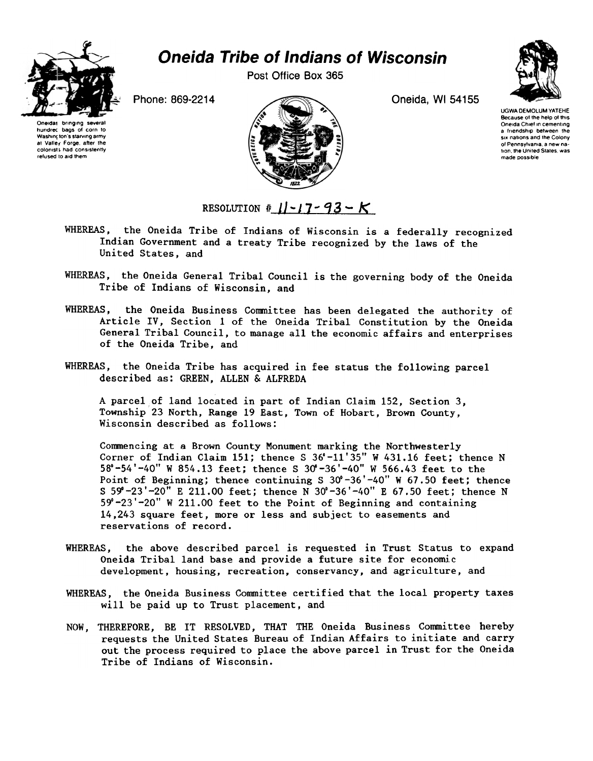

## Oneida Tribe of Indians of Wisconsin

Post Office Box 365



Oneidas bringing several<br>hundrec bags of corn to Washint ton's starving army at Valley Forge, after the colonist; had consistently refused to aid them

Phone: 869-2214 Oneida, WI 54155

UGWA DEMOLUM VATEHE Because of the help of this Oneida Chief in cementing a friendship between the six nations and the Colony of Pennsylvania, a new nation the United States, was made possible

RESOLUTION  $|| \cdot |$  7 - 93 - K

- WHEREAS, the Oneida Tribe of Indians of Wisconsin is a federally recognized Indian Government and a treaty Tribe recognized by the laws of the United States, and
- WHEREAS, the Oneida General Tribal Council is the governing body of the Oneida Tribe of Indians of Wisconsin, and
- WHEREAS, the Oneida Business Committee has been delegated the authority of Article IV, Section 1 of the Oneida Tribal Constitution by the Oneida General Tribal Council, to manage all the economic affairs and enterprises of the Oneida Tribe, and
- WHEREAS, the Oneida Tribe has acquired in fee status the following parcel described as: GREEN, ALLEN & ALFREDA

A parcel of land located in part of Indian Claim 152, Section 3, Township 23 North, Range 19 East, Town of Hobart, Brown County, Wisconsin described as follows:

Commencing at a Brown County Monument marking the Northwesterly Corner of Indian Claim 151; thence S  $36^\circ$ -11'35" W 431.16 feet; thence N  $58^{\circ}$ -54'-40" W 854.13 feet; thence S 30'-36'-40" W 566.43 feet to the Point of Beginning; thence continuing S  $30^{\circ}$ -36'-40" W 67.50 feet; thence S 59°-23'-20" E 211.00 feet; thence N 30°-36'-40" E 67.50 feet; thence N 59°-23'-20" W 211.00 feet to the Point of Beginning and containing 14,243 square feet, more or less and subject to easements and reservations of record.

- WHEREAS, the above described parcel is requested in Trust Status to expand Oneida Tribal land base and provide a future site for economic development, housing, recreation, conservancy, and agriculture, and
- WHEREAS, the Oneida Business Committee certified that the local property taxes will be paid up to Trust placement, and
- NOW, THEREFORE, BE IT RESOLVED, THAT THE Oneida Business Committee hereby requests the United States Bureau of Indian Affairs to initiate and carry out the process required to place the above parcel in Trust for the Oneida Tribe of Indians of Wisconsin.